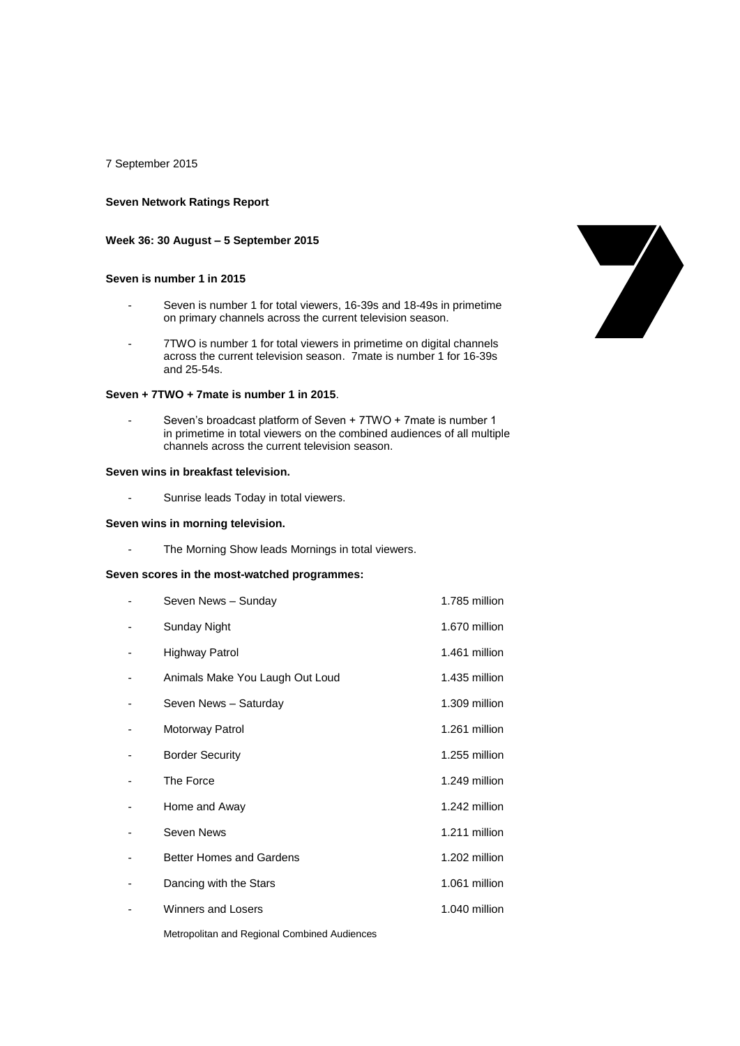7 September 2015

## **Seven Network Ratings Report**

#### **Week 36: 30 August – 5 September 2015**

#### **Seven is number 1 in 2015**

- Seven is number 1 for total viewers, 16-39s and 18-49s in primetime on primary channels across the current television season.
- 7TWO is number 1 for total viewers in primetime on digital channels across the current television season. 7mate is number 1 for 16-39s and 25-54s.

### **Seven + 7TWO + 7mate is number 1 in 2015**.

- Seven's broadcast platform of Seven + 7TWO + 7mate is number 1 in primetime in total viewers on the combined audiences of all multiple channels across the current television season.

#### **Seven wins in breakfast television.**

- Sunrise leads Today in total viewers.

## **Seven wins in morning television.**

- The Morning Show leads Mornings in total viewers.

#### **Seven scores in the most-watched programmes:**

| Seven News - Sunday             | 1.785 million |
|---------------------------------|---------------|
| Sunday Night                    | 1.670 million |
| Highway Patrol                  | 1.461 million |
| Animals Make You Laugh Out Loud | 1.435 million |
| Seven News - Saturday           | 1.309 million |
| Motorway Patrol                 | 1.261 million |
| <b>Border Security</b>          | 1.255 million |
| The Force                       | 1.249 million |
| Home and Away                   | 1.242 million |
| Seven News                      | 1.211 million |
| <b>Better Homes and Gardens</b> | 1.202 million |
| Dancing with the Stars          | 1.061 million |
| <b>Winners and Losers</b>       | 1.040 million |
|                                 |               |



Metropolitan and Regional Combined Audiences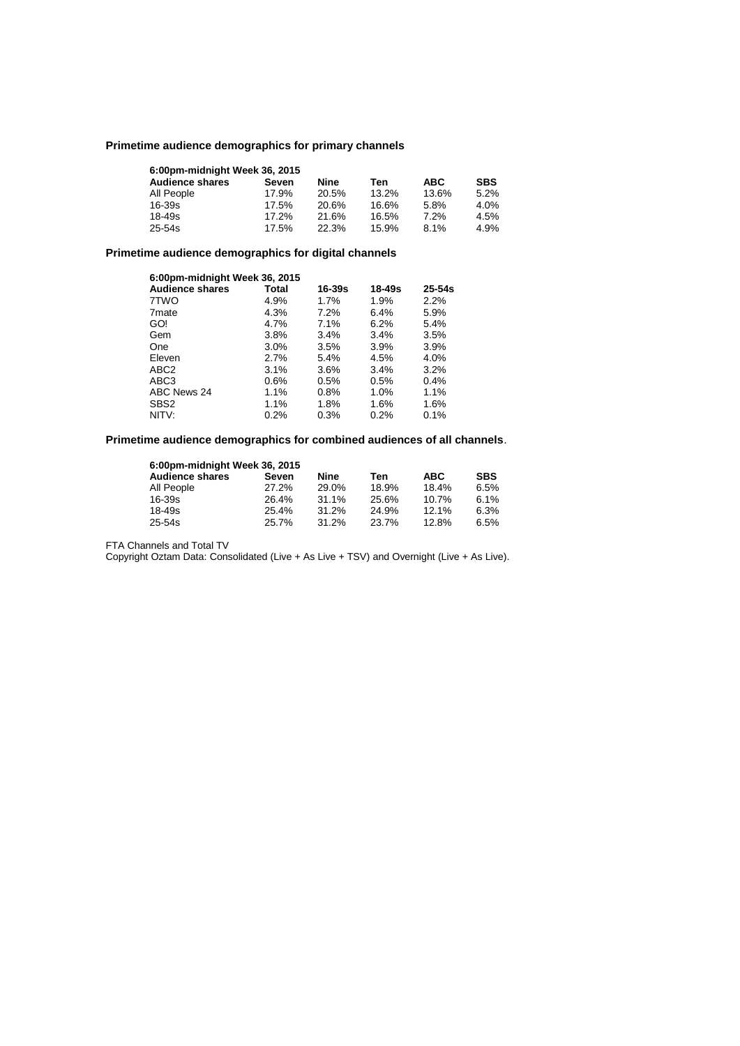# **Primetime audience demographics for primary channels**

| 6:00pm-midnight Week 36, 2015 |          |       |       |            |            |  |  |
|-------------------------------|----------|-------|-------|------------|------------|--|--|
| <b>Audience shares</b>        | Seven    | Nine  | Ten   | <b>ABC</b> | <b>SBS</b> |  |  |
| All People                    | 17.9%    | 20.5% | 13.2% | 13.6%      | 5.2%       |  |  |
| 16-39s                        | 17.5%    | 20.6% | 16.6% | 5.8%       | 4.0%       |  |  |
| 18-49s                        | $17.2\%$ | 21.6% | 16.5% | 7.2%       | 4.5%       |  |  |
| $25 - 54s$                    | 17.5%    | 22.3% | 15.9% | 8.1%       | 4.9%       |  |  |

# **Primetime audience demographics for digital channels**

| 6:00pm-midnight Week 36, 2015 |         |        |        |            |  |  |
|-------------------------------|---------|--------|--------|------------|--|--|
| <b>Audience shares</b>        | Total   | 16-39s | 18-49s | $25 - 54s$ |  |  |
| 7TWO                          | 4.9%    | 1.7%   | 1.9%   | 2.2%       |  |  |
| 7 <sub>mate</sub>             | 4.3%    | 7.2%   | 6.4%   | 5.9%       |  |  |
| GO!                           | 4.7%    | 7.1%   | 6.2%   | 5.4%       |  |  |
| Gem                           | 3.8%    | 3.4%   | 3.4%   | 3.5%       |  |  |
| One                           | $3.0\%$ | 3.5%   | 3.9%   | 3.9%       |  |  |
| Eleven                        | 2.7%    | 5.4%   | 4.5%   | 4.0%       |  |  |
| ABC <sub>2</sub>              | $3.1\%$ | 3.6%   | 3.4%   | 3.2%       |  |  |
| ABC3                          | $0.6\%$ | 0.5%   | 0.5%   | 0.4%       |  |  |
| ABC News 24                   | 1.1%    | 0.8%   | 1.0%   | 1.1%       |  |  |
| SBS <sub>2</sub>              | 1.1%    | 1.8%   | 1.6%   | 1.6%       |  |  |
| NITV:                         | 0.2%    | 0.3%   | 0.2%   | 0.1%       |  |  |

**Primetime audience demographics for combined audiences of all channels**.

| 6:00pm-midnight Week 36, 2015 |       |       |       |            |            |  |  |
|-------------------------------|-------|-------|-------|------------|------------|--|--|
| <b>Audience shares</b>        | Seven | Nine  | Ten   | <b>ABC</b> | <b>SBS</b> |  |  |
| All People                    | 27.2% | 29.0% | 18.9% | 18.4%      | 6.5%       |  |  |
| $16 - 39s$                    | 26.4% | 31.1% | 25.6% | 10.7%      | 6.1%       |  |  |
| 18-49s                        | 25.4% | 31.2% | 24.9% | $12.1\%$   | 6.3%       |  |  |
| 25-54s                        | 25.7% | 31.2% | 23.7% | 12.8%      | 6.5%       |  |  |

FTA Channels and Total TV

Copyright Oztam Data: Consolidated (Live + As Live + TSV) and Overnight (Live + As Live).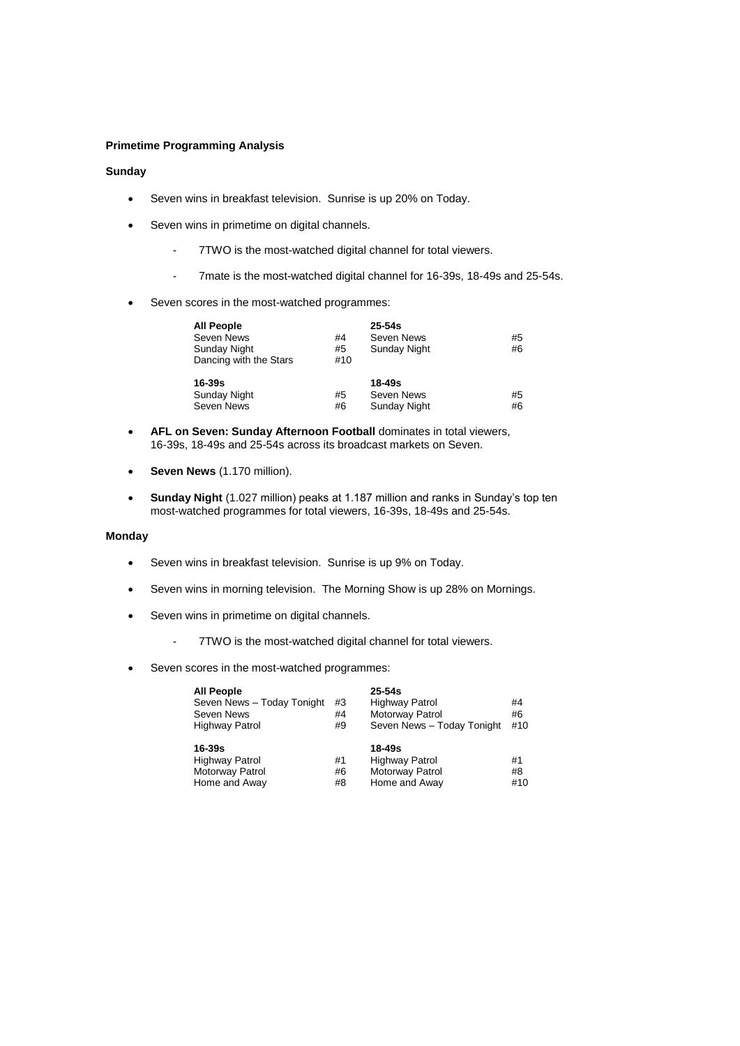# **Primetime Programming Analysis**

# **Sunday**

- Seven wins in breakfast television. Sunrise is up 20% on Today.
- Seven wins in primetime on digital channels.
	- 7TWO is the most-watched digital channel for total viewers.
	- 7mate is the most-watched digital channel for 16-39s, 18-49s and 25-54s.
- Seven scores in the most-watched programmes:

| <b>All People</b>      |     | $25 - 54s$   |    |
|------------------------|-----|--------------|----|
| Seven News             | #4  | Seven News   | #5 |
| Sunday Night           | #5  | Sunday Night | #6 |
| Dancing with the Stars | #10 |              |    |
| $16 - 39s$             |     | 18-49s       |    |
| Sunday Night           | #5  | Seven News   | #5 |
| Seven News             | #6  | Sunday Night | #6 |

- **AFL on Seven: Sunday Afternoon Football** dominates in total viewers, 16-39s, 18-49s and 25-54s across its broadcast markets on Seven.
- **Seven News** (1.170 million).
- **Sunday Night** (1.027 million) peaks at 1.187 million and ranks in Sunday's top ten most-watched programmes for total viewers, 16-39s, 18-49s and 25-54s.

# **Monday**

- Seven wins in breakfast television. Sunrise is up 9% on Today.
- Seven wins in morning television. The Morning Show is up 28% on Mornings.
- Seven wins in primetime on digital channels.
	- 7TWO is the most-watched digital channel for total viewers.
- Seven scores in the most-watched programmes:

| <b>All People</b><br>Seven News - Today Tonight<br>Seven News<br><b>Highway Patrol</b> | #3<br>#4<br>#9 | $25 - 54s$<br><b>Highway Patrol</b><br>Motorway Patrol<br>Seven News - Today Tonight | #4<br>#6<br>#10 |
|----------------------------------------------------------------------------------------|----------------|--------------------------------------------------------------------------------------|-----------------|
| 16-39s                                                                                 |                | 18-49s                                                                               |                 |
| <b>Highway Patrol</b>                                                                  | #1             | <b>Highway Patrol</b>                                                                | #1              |
| Motorway Patrol                                                                        | #6             | Motorway Patrol                                                                      | #8              |
| Home and Away                                                                          | #8             | Home and Away                                                                        | #10             |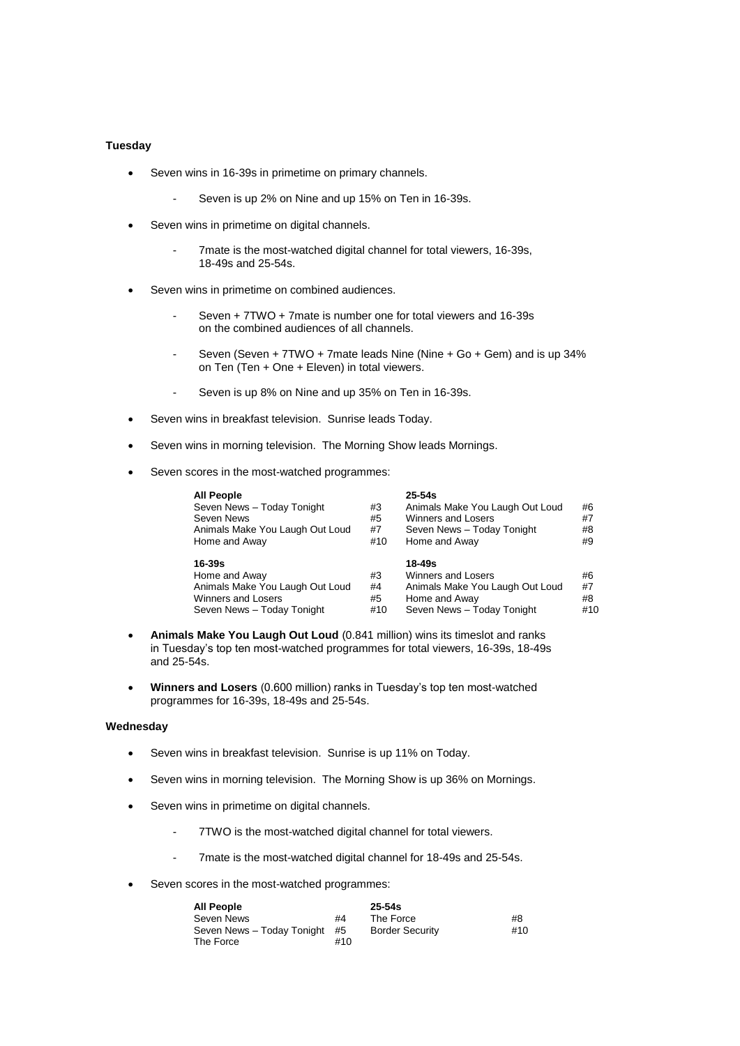# **Tuesday**

- Seven wins in 16-39s in primetime on primary channels.
	- Seven is up 2% on Nine and up 15% on Ten in 16-39s.
- Seven wins in primetime on digital channels.
	- 7mate is the most-watched digital channel for total viewers, 16-39s, 18-49s and 25-54s.
- Seven wins in primetime on combined audiences.
	- Seven + 7TWO + 7mate is number one for total viewers and 16-39s on the combined audiences of all channels.
	- Seven (Seven + 7TWO + 7mate leads Nine (Nine + Go + Gem) and is up 34% on Ten (Ten + One + Eleven) in total viewers.
	- Seven is up 8% on Nine and up 35% on Ten in 16-39s.
- Seven wins in breakfast television. Sunrise leads Today.
- Seven wins in morning television. The Morning Show leads Mornings.
- Seven scores in the most-watched programmes:

| <b>All People</b><br>Seven News - Today Tonight<br>Seven News<br>Animals Make You Laugh Out Loud<br>Home and Away  | #3<br>#5<br>#7<br>#10 | $25 - 54s$<br>Animals Make You Laugh Out Loud<br>Winners and Losers<br>Seven News - Today Tonight<br>Home and Away    | #6<br>#7<br>#8<br>#9  |
|--------------------------------------------------------------------------------------------------------------------|-----------------------|-----------------------------------------------------------------------------------------------------------------------|-----------------------|
| $16 - 39s$<br>Home and Away<br>Animals Make You Laugh Out Loud<br>Winners and Losers<br>Seven News - Today Tonight | #3<br>#4<br>#5<br>#10 | 18-49s<br><b>Winners and Losers</b><br>Animals Make You Laugh Out Loud<br>Home and Away<br>Seven News - Today Tonight | #6<br>#7<br>#8<br>#10 |

- **Animals Make You Laugh Out Loud** (0.841 million) wins its timeslot and ranks in Tuesday's top ten most-watched programmes for total viewers, 16-39s, 18-49s and 25-54s.
- **Winners and Losers** (0.600 million) ranks in Tuesday's top ten most-watched programmes for 16-39s, 18-49s and 25-54s.

#### **Wednesday**

- Seven wins in breakfast television. Sunrise is up 11% on Today.
- Seven wins in morning television. The Morning Show is up 36% on Mornings.
- Seven wins in primetime on digital channels.
	- 7TWO is the most-watched digital channel for total viewers.
	- 7mate is the most-watched digital channel for 18-49s and 25-54s.
- Seven scores in the most-watched programmes:

| <b>All People</b>          |     | $25 - 54s$             |     |
|----------------------------|-----|------------------------|-----|
| Seven News                 | #4  | The Force              | #8  |
| Seven News - Today Tonight | #5  | <b>Border Security</b> | #10 |
| The Force                  | #10 |                        |     |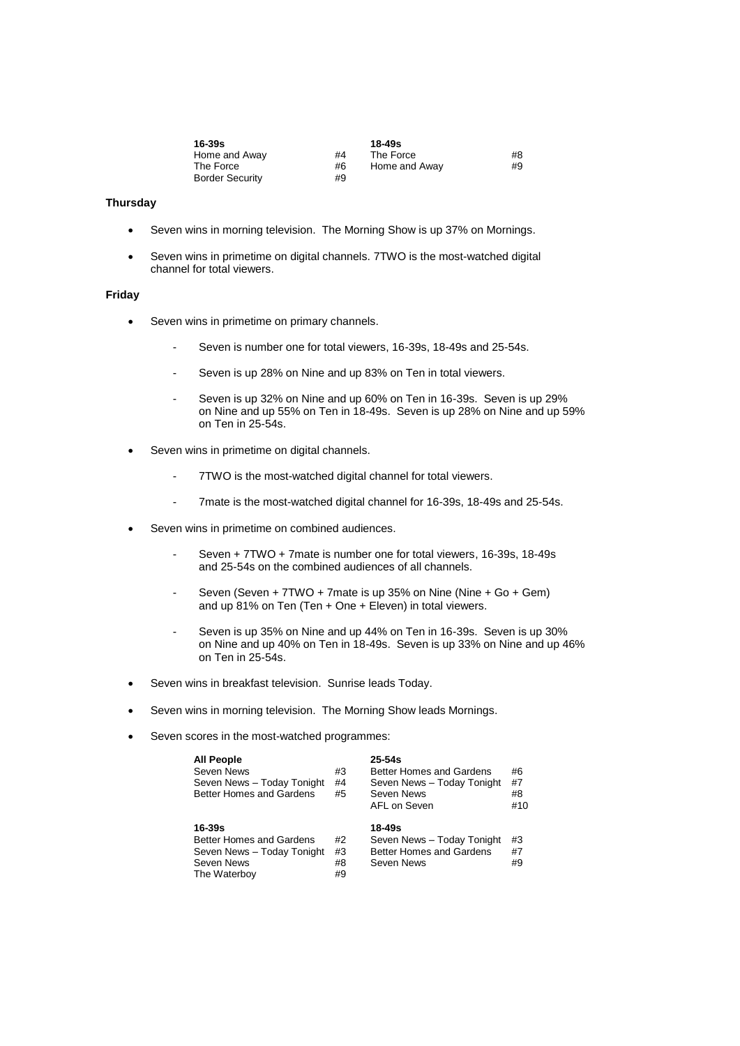| 16-39s                 |    | 18-49s        |    |
|------------------------|----|---------------|----|
| Home and Away          | #4 | The Force     | #8 |
| The Force              | #6 | Home and Away | #9 |
| <b>Border Security</b> | #9 |               |    |

# **Thursday**

- Seven wins in morning television. The Morning Show is up 37% on Mornings.
- Seven wins in primetime on digital channels. 7TWO is the most-watched digital channel for total viewers.

# **Friday**

- Seven wins in primetime on primary channels.
	- Seven is number one for total viewers, 16-39s, 18-49s and 25-54s.
	- Seven is up 28% on Nine and up 83% on Ten in total viewers.
	- Seven is up 32% on Nine and up 60% on Ten in 16-39s. Seven is up 29% on Nine and up 55% on Ten in 18-49s. Seven is up 28% on Nine and up 59% on Ten in 25-54s.
- Seven wins in primetime on digital channels.
	- 7TWO is the most-watched digital channel for total viewers.
	- 7mate is the most-watched digital channel for 16-39s, 18-49s and 25-54s.
- Seven wins in primetime on combined audiences.
	- Seven + 7TWO + 7mate is number one for total viewers, 16-39s, 18-49s and 25-54s on the combined audiences of all channels.
	- Seven (Seven + 7TWO + 7mate is up 35% on Nine (Nine + Go + Gem) and up 81% on Ten (Ten + One + Eleven) in total viewers.
	- Seven is up 35% on Nine and up 44% on Ten in 16-39s. Seven is up 30% on Nine and up 40% on Ten in 18-49s. Seven is up 33% on Nine and up 46% on Ten in 25-54s.
- Seven wins in breakfast television. Sunrise leads Today.
- Seven wins in morning television. The Morning Show leads Mornings.
- Seven scores in the most-watched programmes:

| <b>All People</b><br>Seven News<br>Seven News - Today Tonight<br><b>Better Homes and Gardens</b> | #3<br>#4<br>#5 | $25 - 54s$<br>Better Homes and Gardens<br>Seven News - Today Tonight<br>Seven News<br>AFL on Seven | #6<br>#7<br>#8<br>#10 |
|--------------------------------------------------------------------------------------------------|----------------|----------------------------------------------------------------------------------------------------|-----------------------|
| $16 - 39s$<br>Better Homes and Gardens                                                           | #2<br>#3       | 18-49s<br>Seven News - Today Tonight<br>Better Homes and Gardens                                   | #3<br>#7              |
| Seven News - Today Tonight<br>Seven News<br>The Waterboy                                         | #8<br>#9       | Seven News                                                                                         | #9                    |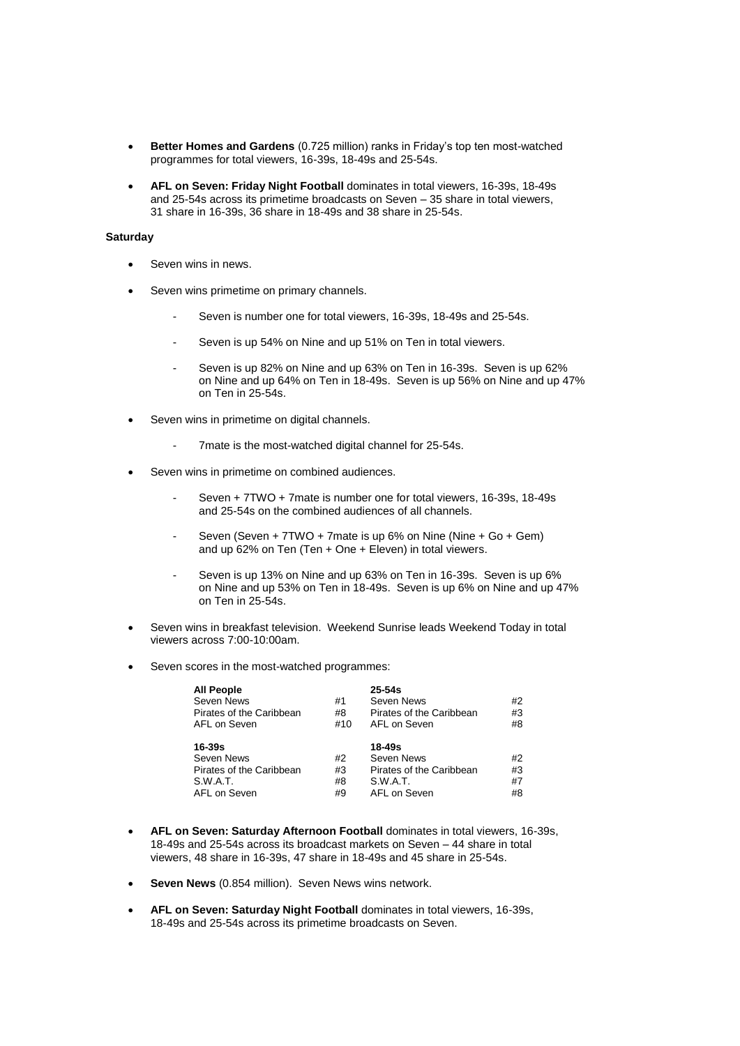- **Better Homes and Gardens** (0.725 million) ranks in Friday's top ten most-watched programmes for total viewers, 16-39s, 18-49s and 25-54s.
- **AFL on Seven: Friday Night Football** dominates in total viewers, 16-39s, 18-49s and 25-54s across its primetime broadcasts on Seven – 35 share in total viewers, 31 share in 16-39s, 36 share in 18-49s and 38 share in 25-54s.

# **Saturday**

- Seven wins in news.
- Seven wins primetime on primary channels.
	- Seven is number one for total viewers, 16-39s, 18-49s and 25-54s.
	- Seven is up 54% on Nine and up 51% on Ten in total viewers.
	- Seven is up 82% on Nine and up 63% on Ten in 16-39s. Seven is up 62% on Nine and up 64% on Ten in 18-49s. Seven is up 56% on Nine and up 47% on Ten in 25-54s.
- Seven wins in primetime on digital channels.
	- 7mate is the most-watched digital channel for 25-54s.
- Seven wins in primetime on combined audiences.
	- Seven + 7TWO + 7mate is number one for total viewers, 16-39s, 18-49s and 25-54s on the combined audiences of all channels.
	- Seven (Seven + 7TWO + 7mate is up 6% on Nine (Nine + Go + Gem) and up 62% on Ten (Ten + One + Eleven) in total viewers.
	- Seven is up 13% on Nine and up 63% on Ten in 16-39s. Seven is up 6% on Nine and up 53% on Ten in 18-49s. Seven is up 6% on Nine and up 47% on Ten in 25-54s.
- Seven wins in breakfast television. Weekend Sunrise leads Weekend Today in total viewers across 7:00-10:00am.
- Seven scores in the most-watched programmes:

| <b>All People</b><br>Seven News<br>Pirates of the Caribbean<br>AFL on Seven  | #1<br>#8<br>#10      | $25 - 54s$<br>Seven News<br>Pirates of the Caribbean<br>AFL on Seven         | #2<br>#3<br>#8       |
|------------------------------------------------------------------------------|----------------------|------------------------------------------------------------------------------|----------------------|
| 16-39s<br>Seven News<br>Pirates of the Caribbean<br>S.W.A.T.<br>AFL on Seven | #2<br>#3<br>#8<br>#9 | 18-49s<br>Seven News<br>Pirates of the Caribbean<br>S.W.A.T.<br>AFL on Seven | #2<br>#3<br>#7<br>#8 |

- **AFL on Seven: Saturday Afternoon Football** dominates in total viewers, 16-39s, 18-49s and 25-54s across its broadcast markets on Seven – 44 share in total viewers, 48 share in 16-39s, 47 share in 18-49s and 45 share in 25-54s.
- **Seven News** (0.854 million). Seven News wins network.
- **AFL on Seven: Saturday Night Football** dominates in total viewers, 16-39s, 18-49s and 25-54s across its primetime broadcasts on Seven.